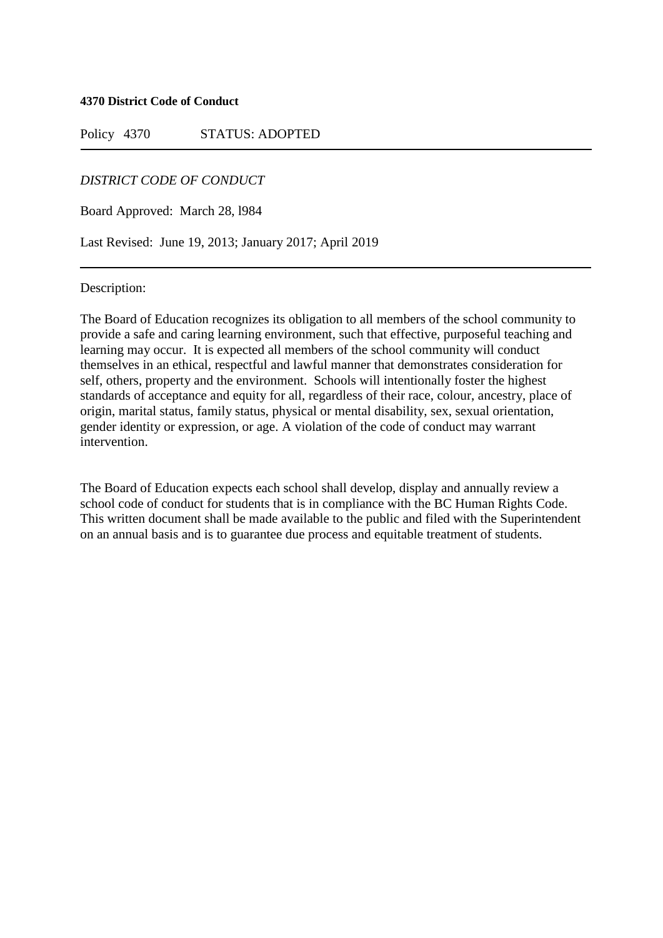**4370 District Code of Conduct**

Policy 4370 STATUS: ADOPTED

## *DISTRICT CODE OF CONDUCT*

Board Approved: March 28, l984

Last Revised: June 19, 2013; January 2017; April 2019

Description:

The Board of Education recognizes its obligation to all members of the school community to provide a safe and caring learning environment, such that effective, purposeful teaching and learning may occur. It is expected all members of the school community will conduct themselves in an ethical, respectful and lawful manner that demonstrates consideration for self, others, property and the environment. Schools will intentionally foster the highest standards of acceptance and equity for all, regardless of their race, colour, ancestry, place of origin, marital status, family status, physical or mental disability, sex, sexual orientation, gender identity or expression, or age. A violation of the code of conduct may warrant intervention.

The Board of Education expects each school shall develop, display and annually review a school code of conduct for students that is in compliance with the BC Human Rights Code. This written document shall be made available to the public and filed with the Superintendent on an annual basis and is to guarantee due process and equitable treatment of students.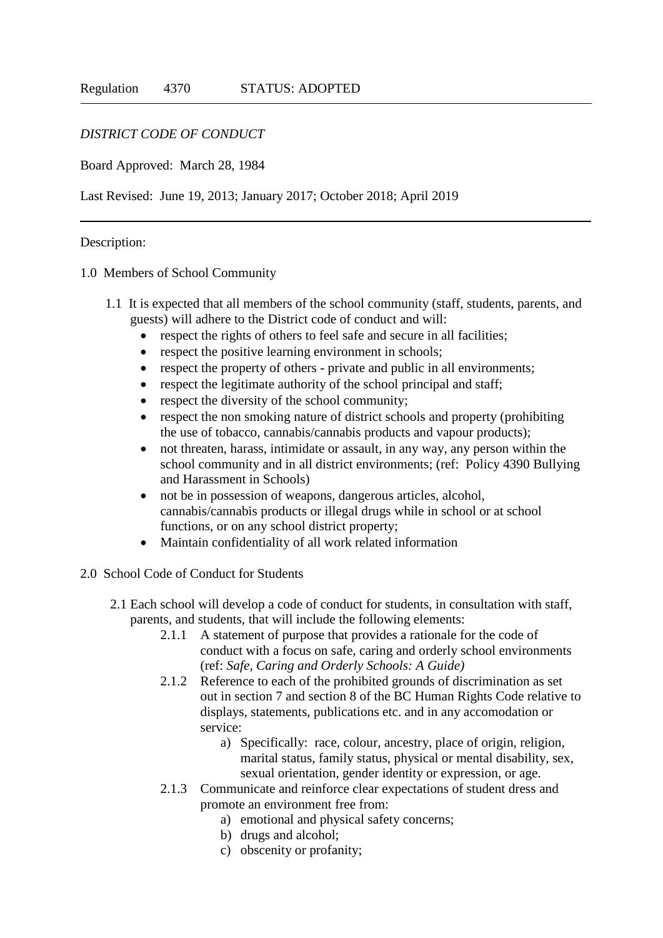## *DISTRICT CODE OF CONDUCT*

## Board Approved: March 28, 1984

Last Revised: June 19, 2013; January 2017; October 2018; April 2019

## Description:

1.0 Members of School Community

- 1.1 It is expected that all members of the school community (staff, students, parents, and guests) will adhere to the District code of conduct and will:
	- respect the rights of others to feel safe and secure in all facilities;
	- respect the positive learning environment in schools;
	- respect the property of others private and public in all environments;
	- respect the legitimate authority of the school principal and staff;
	- respect the diversity of the school community;
	- respect the non smoking nature of district schools and property (prohibiting the use of tobacco, cannabis/cannabis products and vapour products);
	- not threaten, harass, intimidate or assault, in any way, any person within the school community and in all district environments; (ref: Policy 4390 Bullying and Harassment in Schools)
	- not be in possession of weapons, dangerous articles, alcohol, cannabis/cannabis products or illegal drugs while in school or at school functions, or on any school district property;
	- Maintain confidentiality of all work related information
- 2.0 School Code of Conduct for Students
	- 2.1 Each school will develop a code of conduct for students, in consultation with staff, parents, and students, that will include the following elements:
		- 2.1.1 A statement of purpose that provides a rationale for the code of conduct with a focus on safe, caring and orderly school environments (ref: *Safe, Caring and Orderly Schools: A Guide)*
		- 2.1.2 Reference to each of the prohibited grounds of discrimination as set out in section 7 and section 8 of the BC Human Rights Code relative to displays, statements, publications etc. and in any accomodation or service:
			- a) Specifically: race, colour, ancestry, place of origin, religion, marital status, family status, physical or mental disability, sex, sexual orientation, gender identity or expression, or age.
		- 2.1.3 Communicate and reinforce clear expectations of student dress and promote an environment free from:
			- a) emotional and physical safety concerns;
			- b) drugs and alcohol;
			- c) obscenity or profanity;